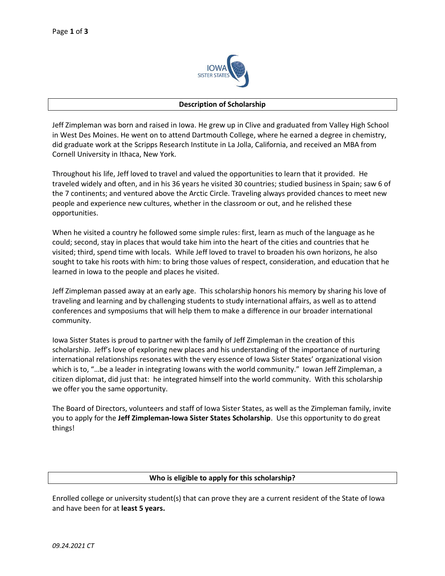

#### **Description of Scholarship**

Jeff Zimpleman was born and raised in Iowa. He grew up in Clive and graduated from Valley High School in West Des Moines. He went on to attend Dartmouth College, where he earned a degree in chemistry, did graduate work at the Scripps Research Institute in La Jolla, California, and received an MBA from Cornell University in Ithaca, New York.

Throughout his life, Jeff loved to travel and valued the opportunities to learn that it provided. He traveled widely and often, and in his 36 years he visited 30 countries; studied business in Spain; saw 6 of the 7 continents; and ventured above the Arctic Circle. Traveling always provided chances to meet new people and experience new cultures, whether in the classroom or out, and he relished these opportunities.

When he visited a country he followed some simple rules: first, learn as much of the language as he could; second, stay in places that would take him into the heart of the cities and countries that he visited; third, spend time with locals. While Jeff loved to travel to broaden his own horizons, he also sought to take his roots with him: to bring those values of respect, consideration, and education that he learned in Iowa to the people and places he visited.

Jeff Zimpleman passed away at an early age. This scholarship honors his memory by sharing his love of traveling and learning and by challenging students to study international affairs, as well as to attend conferences and symposiums that will help them to make a difference in our broader international community.

Iowa Sister States is proud to partner with the family of Jeff Zimpleman in the creation of this scholarship. Jeff's love of exploring new places and his understanding of the importance of nurturing international relationships resonates with the very essence of Iowa Sister States' organizational vision which is to, "...be a leader in integrating Iowans with the world community." Iowan Jeff Zimpleman, a citizen diplomat, did just that: he integrated himself into the world community. With this scholarship we offer you the same opportunity.

The Board of Directors, volunteers and staff of Iowa Sister States, as well as the Zimpleman family, invite you to apply for the **Jeff Zimpleman-Iowa Sister States Scholarship**. Use this opportunity to do great things!

### **Who is eligible to apply for this scholarship?**

Enrolled college or university student(s) that can prove they are a current resident of the State of Iowa and have been for at **least 5 years.**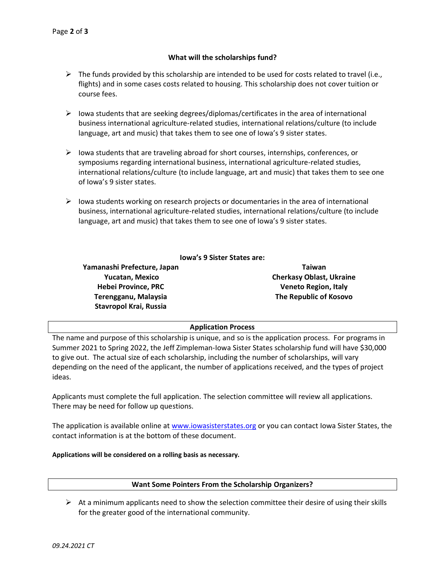# **What will the scholarships fund?**

- $\triangleright$  The funds provided by this scholarship are intended to be used for costs related to travel (i.e., flights) and in some cases costs related to housing. This scholarship does not cover tuition or course fees.
- $\triangleright$  Iowa students that are seeking degrees/diplomas/certificates in the area of international business international agriculture-related studies, international relations/culture (to include language, art and music) that takes them to see one of Iowa's 9 sister states.
- $\triangleright$  Iowa students that are traveling abroad for short courses, internships, conferences, or symposiums regarding international business, international agriculture-related studies, international relations/culture (to include language, art and music) that takes them to see one of Iowa's 9 sister states.
- $\triangleright$  Iowa students working on research projects or documentaries in the area of international business, international agriculture-related studies, international relations/culture (to include language, art and music) that takes them to see one of Iowa's 9 sister states.

# **Iowa's 9 Sister States are:**

**Yamanashi Prefecture, Japan Yucatan, Mexico Hebei Province, PRC Terengganu, Malaysia Stavropol Krai, Russia** 

**Taiwan Cherkasy Oblast, Ukraine Veneto Region, Italy The Republic of Kosovo**

# **Application Process**

The name and purpose of this scholarship is unique, and so is the application process. For programs in Summer 2021 to Spring 2022, the Jeff Zimpleman-Iowa Sister States scholarship fund will have \$30,000 to give out. The actual size of each scholarship, including the number of scholarships, will vary depending on the need of the applicant, the number of applications received, and the types of project ideas.

Applicants must complete the full application. The selection committee will review all applications. There may be need for follow up questions.

The application is available online at [www.iowasisterstates.org](http://www.iowasisterstates.org/) or you can contact Iowa Sister States, the contact information is at the bottom of these document.

### **Applications will be considered on a rolling basis as necessary.**

### **Want Some Pointers From the Scholarship Organizers?**

 $\triangleright$  At a minimum applicants need to show the selection committee their desire of using their skills for the greater good of the international community.